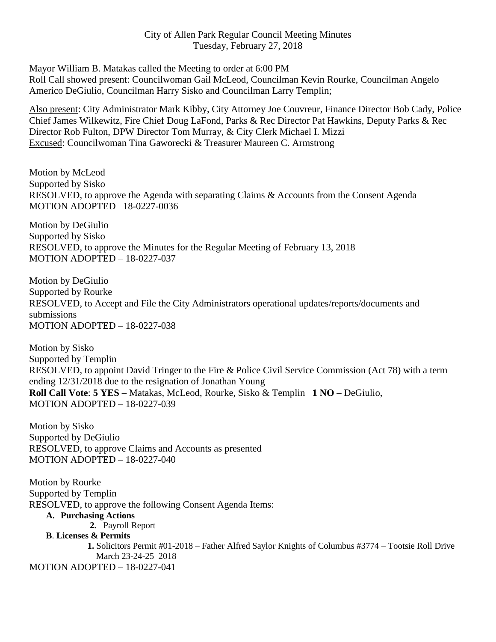## City of Allen Park Regular Council Meeting Minutes Tuesday, February 27, 2018

Mayor William B. Matakas called the Meeting to order at 6:00 PM Roll Call showed present: Councilwoman Gail McLeod, Councilman Kevin Rourke, Councilman Angelo Americo DeGiulio, Councilman Harry Sisko and Councilman Larry Templin;

Also present: City Administrator Mark Kibby, City Attorney Joe Couvreur, Finance Director Bob Cady, Police Chief James Wilkewitz, Fire Chief Doug LaFond, Parks & Rec Director Pat Hawkins, Deputy Parks & Rec Director Rob Fulton, DPW Director Tom Murray, & City Clerk Michael I. Mizzi Excused: Councilwoman Tina Gaworecki & Treasurer Maureen C. Armstrong

Motion by McLeod Supported by Sisko RESOLVED, to approve the Agenda with separating Claims & Accounts from the Consent Agenda MOTION ADOPTED –18-0227-0036

Motion by DeGiulio Supported by Sisko RESOLVED, to approve the Minutes for the Regular Meeting of February 13, 2018 MOTION ADOPTED – 18-0227-037

Motion by DeGiulio Supported by Rourke RESOLVED, to Accept and File the City Administrators operational updates/reports/documents and submissions MOTION ADOPTED – 18-0227-038

Motion by Sisko Supported by Templin RESOLVED, to appoint David Tringer to the Fire & Police Civil Service Commission (Act 78) with a term ending 12/31/2018 due to the resignation of Jonathan Young **Roll Call Vote**: **5 YES –** Matakas, McLeod, Rourke, Sisko & Templin **1 NO –** DeGiulio, MOTION ADOPTED – 18-0227-039

Motion by Sisko Supported by DeGiulio RESOLVED, to approve Claims and Accounts as presented MOTION ADOPTED – 18-0227-040

Motion by Rourke Supported by Templin RESOLVED, to approve the following Consent Agenda Items:

## **A. Purchasing Actions**

**2.** Payroll Report

## **B**. **Licenses & Permits**

**1.** Solicitors Permit #01-2018 – Father Alfred Saylor Knights of Columbus #3774 – Tootsie Roll Drive March 23-24-25 2018 MOTION ADOPTED – 18-0227-041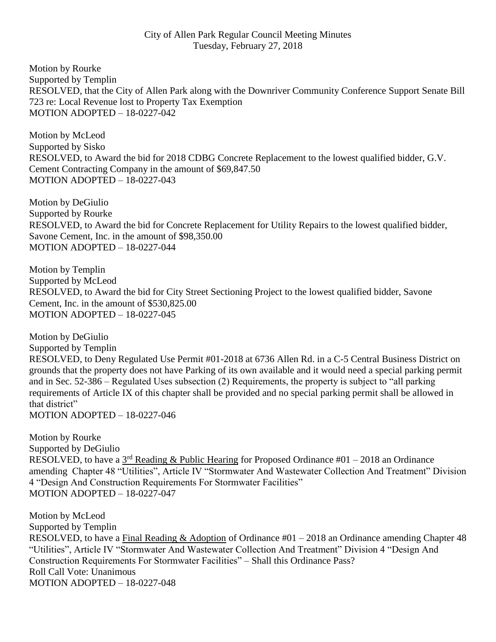## City of Allen Park Regular Council Meeting Minutes Tuesday, February 27, 2018

Motion by Rourke Supported by Templin RESOLVED, that the City of Allen Park along with the Downriver Community Conference Support Senate Bill 723 re: Local Revenue lost to Property Tax Exemption MOTION ADOPTED – 18-0227-042

Motion by McLeod Supported by Sisko RESOLVED, to Award the bid for 2018 CDBG Concrete Replacement to the lowest qualified bidder, G.V. Cement Contracting Company in the amount of \$69,847.50 MOTION ADOPTED – 18-0227-043

Motion by DeGiulio Supported by Rourke RESOLVED, to Award the bid for Concrete Replacement for Utility Repairs to the lowest qualified bidder, Savone Cement, Inc. in the amount of \$98,350.00 MOTION ADOPTED – 18-0227-044

Motion by Templin Supported by McLeod RESOLVED, to Award the bid for City Street Sectioning Project to the lowest qualified bidder, Savone Cement, Inc. in the amount of \$530,825.00 MOTION ADOPTED – 18-0227-045

Motion by DeGiulio Supported by Templin RESOLVED, to Deny Regulated Use Permit #01-2018 at 6736 Allen Rd. in a C-5 Central Business District on grounds that the property does not have Parking of its own available and it would need a special parking permit and in Sec. 52-386 – Regulated Uses subsection (2) Requirements, the property is subject to "all parking requirements of Article IX of this chapter shall be provided and no special parking permit shall be allowed in that district" MOTION ADOPTED – 18-0227-046

Motion by Rourke Supported by DeGiulio RESOLVED, to have a  $3<sup>rd</sup>$  Reading & Public Hearing for Proposed Ordinance #01 – 2018 an Ordinance amending Chapter 48 "Utilities", Article IV "Stormwater And Wastewater Collection And Treatment" Division 4 "Design And Construction Requirements For Stormwater Facilities" MOTION ADOPTED – 18-0227-047

Motion by McLeod Supported by Templin RESOLVED, to have a Final Reading & Adoption of Ordinance #01 – 2018 an Ordinance amending Chapter 48 "Utilities", Article IV "Stormwater And Wastewater Collection And Treatment" Division 4 "Design And Construction Requirements For Stormwater Facilities" – Shall this Ordinance Pass? Roll Call Vote: Unanimous MOTION ADOPTED – 18-0227-048